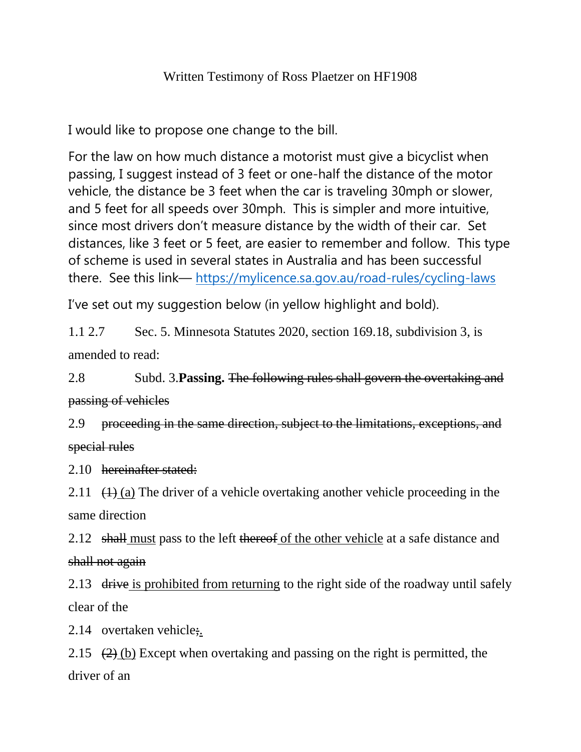## Written Testimony of Ross Plaetzer on HF1908

I would like to propose one change to the bill.

For the law on how much distance a motorist must give a bicyclist when passing, I suggest instead of 3 feet or one-half the distance of the motor vehicle, the distance be 3 feet when the car is traveling 30mph or slower, and 5 feet for all speeds over 30mph. This is simpler and more intuitive, since most drivers don't measure distance by the width of their car. Set distances, like 3 feet or 5 feet, are easier to remember and follow. This type of scheme is used in several states in Australia and has been successful there. See this link— <https://mylicence.sa.gov.au/road-rules/cycling-laws>

I've set out my suggestion below (in yellow highlight and bold).

1.1 2.7 Sec. 5. Minnesota Statutes 2020, section 169.18, subdivision 3, is amended to read:

2.8 Subd. 3.**Passing.** The following rules shall govern the overtaking and passing of vehicles

2.9 proceeding in the same direction, subject to the limitations, exceptions, and special rules

2.10 hereinafter stated:

2.11  $(1)$  (a) The driver of a vehicle overtaking another vehicle proceeding in the same direction

2.12 shall must pass to the left thereof of the other vehicle at a safe distance and shall not again

2.13 drive is prohibited from returning to the right side of the roadway until safely clear of the

2.14 overtaken vehicle;

2.15  $(2)$  (b) Except when overtaking and passing on the right is permitted, the driver of an